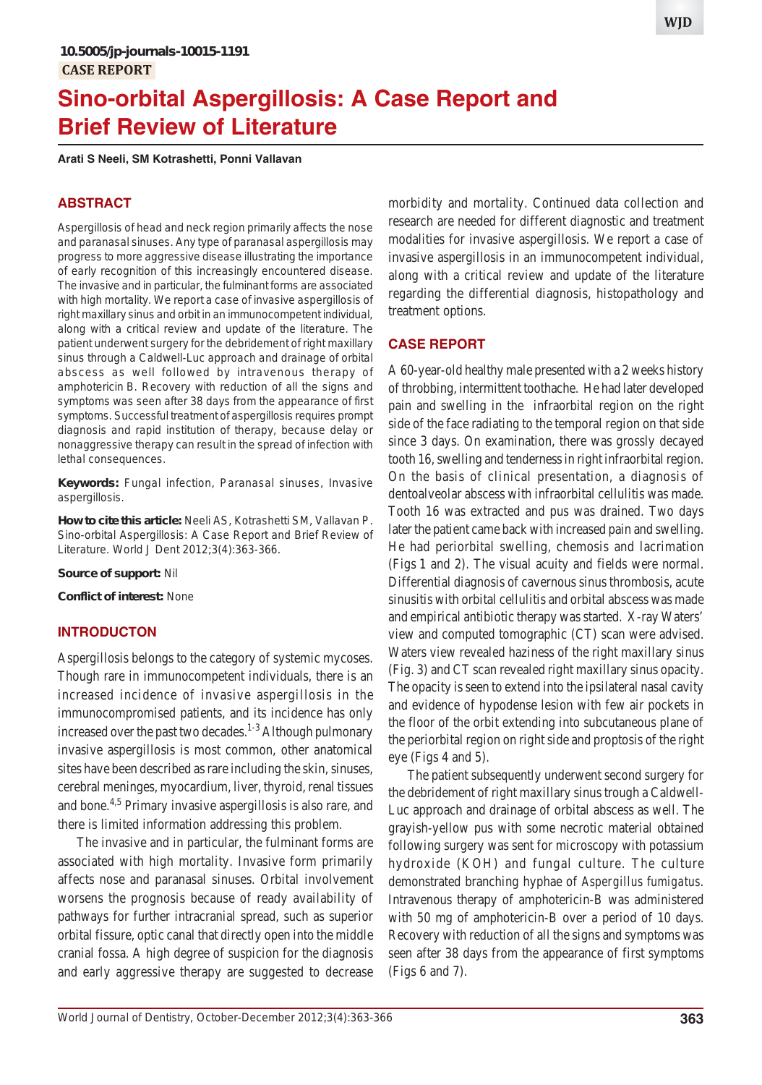# **Sino-orbital Aspergillosis: A Case Report and Brief Review of Literature**

**Arati S Neeli, SM Kotrashetti, Ponni Vallavan**

#### **ABSTRACT**

Aspergillosis of head and neck region primarily affects the nose and paranasal sinuses. Any type of paranasal aspergillosis may progress to more aggressive disease illustrating the importance of early recognition of this increasingly encountered disease. The invasive and in particular, the fulminant forms are associated with high mortality. We report a case of invasive aspergillosis of right maxillary sinus and orbit in an immunocompetent individual, along with a critical review and update of the literature. The patient underwent surgery for the debridement of right maxillary sinus through a Caldwell-Luc approach and drainage of orbital abscess as well followed by intravenous therapy of amphotericin B. Recovery with reduction of all the signs and symptoms was seen after 38 days from the appearance of first symptoms. Successful treatment of aspergillosis requires prompt diagnosis and rapid institution of therapy, because delay or nonaggressive therapy can result in the spread of infection with lethal consequences.

**Keywords:** Fungal infection, Paranasal sinuses, Invasive aspergillosis.

**How to cite this article:** Neeli AS, Kotrashetti SM, Vallavan P. Sino-orbital Aspergillosis: A Case Report and Brief Review of Literature. World J Dent 2012;3(4):363-366.

**Source of support:** Nil

**Conflict of interest:** None

#### **INTRODUCTON**

Aspergillosis belongs to the category of systemic mycoses. Though rare in immunocompetent individuals, there is an increased incidence of invasive aspergillosis in the immunocompromised patients, and its incidence has only increased over the past two decades.<sup>1-3</sup> Although pulmonary invasive aspergillosis is most common, other anatomical sites have been described as rare including the skin, sinuses, cerebral meninges, myocardium, liver, thyroid, renal tissues and bone.4,5 Primary invasive aspergillosis is also rare, and there is limited information addressing this problem.

The invasive and in particular, the fulminant forms are associated with high mortality. Invasive form primarily affects nose and paranasal sinuses. Orbital involvement worsens the prognosis because of ready availability of pathways for further intracranial spread, such as superior orbital fissure, optic canal that directly open into the middle cranial fossa. A high degree of suspicion for the diagnosis and early aggressive therapy are suggested to decrease

morbidity and mortality. Continued data collection and research are needed for different diagnostic and treatment modalities for invasive aspergillosis. We report a case of invasive aspergillosis in an immunocompetent individual, along with a critical review and update of the literature regarding the differential diagnosis, histopathology and treatment options.

### **CASE REPORT**

A 60-year-old healthy male presented with a 2 weeks history of throbbing, intermittent toothache. He had later developed pain and swelling in the infraorbital region on the right side of the face radiating to the temporal region on that side since 3 days. On examination, there was grossly decayed tooth 16, swelling and tenderness in right infraorbital region. On the basis of clinical presentation, a diagnosis of dentoalveolar abscess with infraorbital cellulitis was made. Tooth 16 was extracted and pus was drained. Two days later the patient came back with increased pain and swelling. He had periorbital swelling, chemosis and lacrimation (Figs 1 and 2). The visual acuity and fields were normal. Differential diagnosis of cavernous sinus thrombosis, acute sinusitis with orbital cellulitis and orbital abscess was made and empirical antibiotic therapy was started. X-ray Waters' view and computed tomographic (CT) scan were advised. Waters view revealed haziness of the right maxillary sinus (Fig. 3) and CT scan revealed right maxillary sinus opacity. The opacity is seen to extend into the ipsilateral nasal cavity and evidence of hypodense lesion with few air pockets in the floor of the orbit extending into subcutaneous plane of the periorbital region on right side and proptosis of the right eye (Figs 4 and 5).

The patient subsequently underwent second surgery for the debridement of right maxillary sinus trough a Caldwell-Luc approach and drainage of orbital abscess as well. The grayish-yellow pus with some necrotic material obtained following surgery was sent for microscopy with potassium hydroxide (KOH) and fungal culture. The culture demonstrated branching hyphae of *Aspergillus fumigatus*. Intravenous therapy of amphotericin-B was administered with 50 mg of amphotericin-B over a period of 10 days. Recovery with reduction of all the signs and symptoms was seen after 38 days from the appearance of first symptoms (Figs 6 and 7).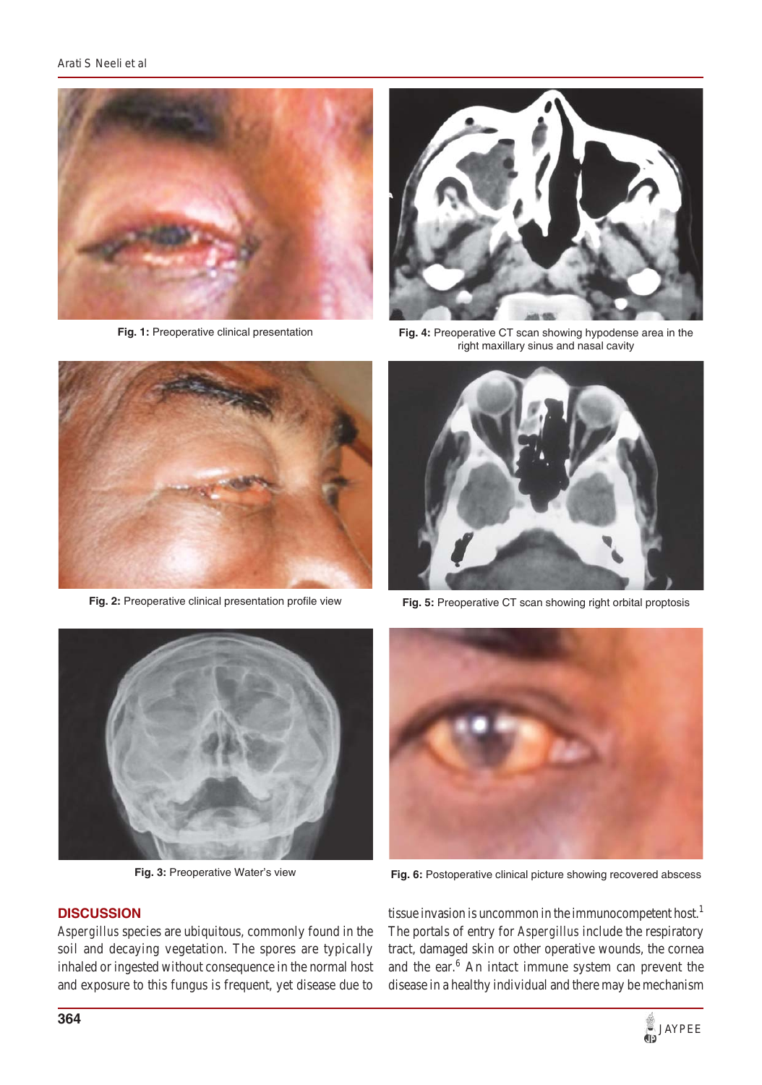

**Fig. 1:** Preoperative clinical presentation



**Fig. 2:** Preoperative clinical presentation profile view



**Fig. 4:** Preoperative CT scan showing hypodense area in the right maxillary sinus and nasal cavity



**Fig. 5:** Preoperative CT scan showing right orbital proptosis



**Fig. 3:** Preoperative Water's view



*Aspergillus* species are ubiquitous, commonly found in the soil and decaying vegetation. The spores are typically inhaled or ingested without consequence in the normal host and exposure to this fungus is frequent, yet disease due to



**Fig. 6:** Postoperative clinical picture showing recovered abscess

tissue invasion is uncommon in the immunocompetent host.<sup>1</sup> The portals of entry for *Aspergillus* include the respiratory tract, damaged skin or other operative wounds, the cornea and the ear.<sup>6</sup> An intact immune system can prevent the disease in a healthy individual and there may be mechanism

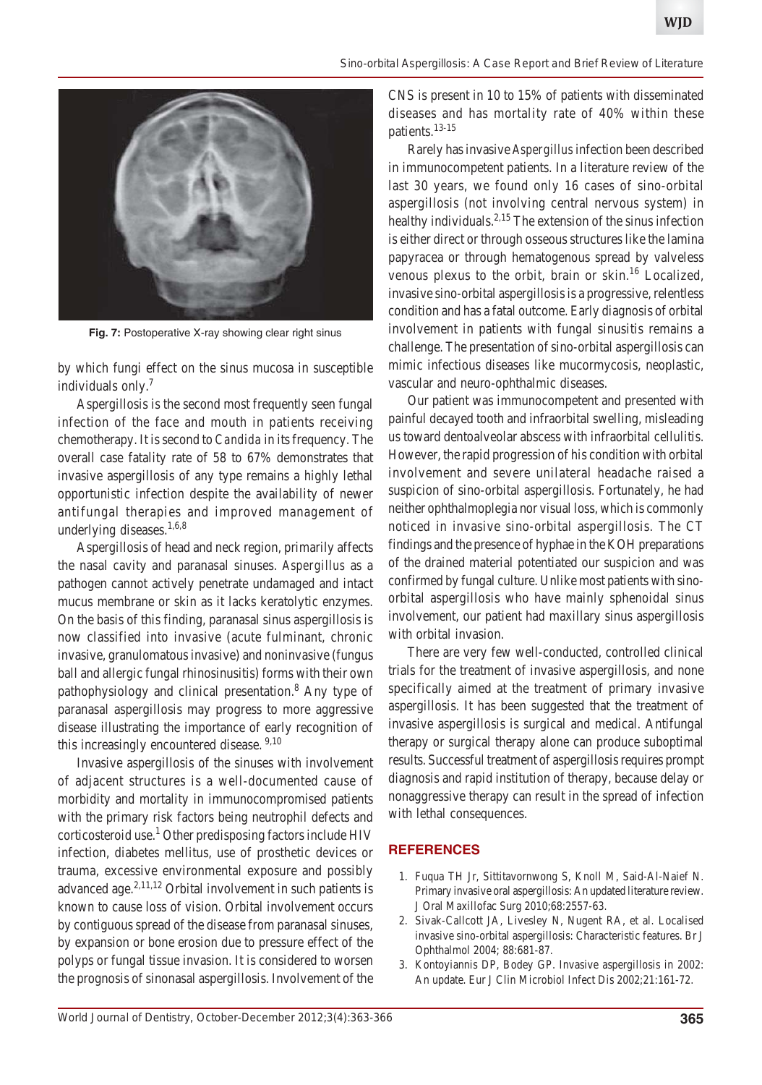

**Fig. 7:** Postoperative X-ray showing clear right sinus

by which fungi effect on the sinus mucosa in susceptible individuals only.7

Aspergillosis is the second most frequently seen fungal infection of the face and mouth in patients receiving chemotherapy. It is second to *Candida* in its frequency. The overall case fatality rate of 58 to 67% demonstrates that invasive aspergillosis of any type remains a highly lethal opportunistic infection despite the availability of newer antifungal therapies and improved management of underlying diseases. $1,6,8$ 

Aspergillosis of head and neck region, primarily affects the nasal cavity and paranasal sinuses. *Aspergillus* as a pathogen cannot actively penetrate undamaged and intact mucus membrane or skin as it lacks keratolytic enzymes. On the basis of this finding, paranasal sinus aspergillosis is now classified into invasive (acute fulminant, chronic invasive, granulomatous invasive) and noninvasive (fungus ball and allergic fungal rhinosinusitis) forms with their own pathophysiology and clinical presentation.<sup>8</sup> Any type of paranasal aspergillosis may progress to more aggressive disease illustrating the importance of early recognition of this increasingly encountered disease.<sup>9,10</sup>

Invasive aspergillosis of the sinuses with involvement of adjacent structures is a well-documented cause of morbidity and mortality in immunocompromised patients with the primary risk factors being neutrophil defects and corticosteroid use.<sup>1</sup> Other predisposing factors include HIV infection, diabetes mellitus, use of prosthetic devices or trauma, excessive environmental exposure and possibly advanced age.2,11,12 Orbital involvement in such patients is known to cause loss of vision. Orbital involvement occurs by contiguous spread of the disease from paranasal sinuses, by expansion or bone erosion due to pressure effect of the polyps or fungal tissue invasion. It is considered to worsen the prognosis of sinonasal aspergillosis. Involvement of the CNS is present in 10 to 15% of patients with disseminated diseases and has mortality rate of 40% within these patients.13-15

Rarely has invasive *Aspergillus* infection been described in immunocompetent patients. In a literature review of the last 30 years, we found only 16 cases of sino-orbital aspergillosis (not involving central nervous system) in healthy individuals.<sup>2,15</sup> The extension of the sinus infection is either direct or through osseous structures like the lamina papyracea or through hematogenous spread by valveless venous plexus to the orbit, brain or skin.<sup>16</sup> Localized, invasive sino-orbital aspergillosis is a progressive, relentless condition and has a fatal outcome. Early diagnosis of orbital involvement in patients with fungal sinusitis remains a challenge. The presentation of sino-orbital aspergillosis can mimic infectious diseases like mucormycosis, neoplastic, vascular and neuro-ophthalmic diseases.

Our patient was immunocompetent and presented with painful decayed tooth and infraorbital swelling, misleading us toward dentoalveolar abscess with infraorbital cellulitis. However, the rapid progression of his condition with orbital involvement and severe unilateral headache raised a suspicion of sino-orbital aspergillosis. Fortunately, he had neither ophthalmoplegia nor visual loss, which is commonly noticed in invasive sino-orbital aspergillosis. The CT findings and the presence of hyphae in the KOH preparations of the drained material potentiated our suspicion and was confirmed by fungal culture. Unlike most patients with sinoorbital aspergillosis who have mainly sphenoidal sinus involvement, our patient had maxillary sinus aspergillosis with orbital invasion.

There are very few well-conducted, controlled clinical trials for the treatment of invasive aspergillosis, and none specifically aimed at the treatment of primary invasive aspergillosis. It has been suggested that the treatment of invasive aspergillosis is surgical and medical. Antifungal therapy or surgical therapy alone can produce suboptimal results. Successful treatment of aspergillosis requires prompt diagnosis and rapid institution of therapy, because delay or nonaggressive therapy can result in the spread of infection with lethal consequences.

#### **REFERENCES**

- 1. Fuqua TH Jr, Sittitavornwong S, Knoll M, Said-Al-Naief N. Primary invasive oral aspergillosis: An updated literature review. J Oral Maxillofac Surg 2010;68:2557-63.
- 2. Sivak-Callcott JA, Livesley N, Nugent RA, et al. Localised invasive sino-orbital aspergillosis: Characteristic features. Br J Ophthalmol 2004; 88:681-87.
- 3. Kontoyiannis DP, Bodey GP. Invasive aspergillosis in 2002: An update. Eur J Clin Microbiol Infect Dis 2002;21:161-72.